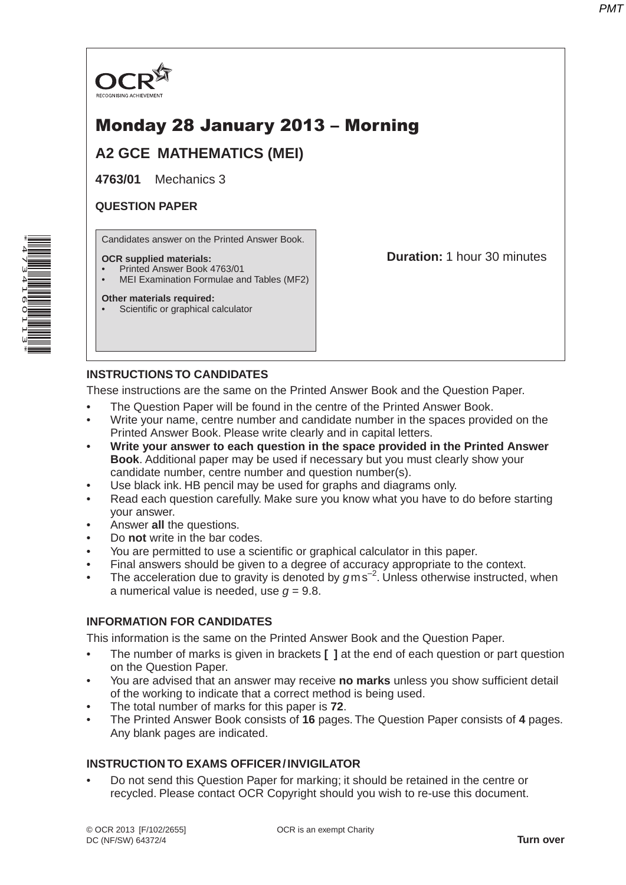

# Monday 28 January 2013 – Morning

**A2 GCE MATHEMATICS (MEI)**

**4763/01** Mechanics 3

#### **QUESTION PAPER**

Candidates answer on the Printed Answer Book.

#### **OCR supplied materials:**

- Printed Answer Book 4763/01
- MEI Examination Formulae and Tables (MF2)

#### **Other materials required:**

Scientific or graphical calculator

**Duration:** 1 hour 30 minutes

# **INSTRUCTIONS TO CANDIDATES**

These instructions are the same on the Printed Answer Book and the Question Paper.

- The Question Paper will be found in the centre of the Printed Answer Book.
- Write your name, centre number and candidate number in the spaces provided on the Printed Answer Book. Please write clearly and in capital letters.
- **Write your answer to each question in the space provided in the Printed Answer Book**. Additional paper may be used if necessary but you must clearly show your candidate number, centre number and question number(s).
- Use black ink. HB pencil may be used for graphs and diagrams only.
- Read each question carefully. Make sure you know what you have to do before starting your answer.
- Answer **all** the questions.
- Do **not** write in the bar codes.
- You are permitted to use a scientific or graphical calculator in this paper.
- Final answers should be given to a degree of accuracy appropriate to the context.
- The acceleration due to gravity is denoted by  $g$ ms<sup>-2</sup>. Unless otherwise instructed, when a numerical value is needed, use  $q = 9.8$ .

# **INFORMATION FOR CANDIDATES**

This information is the same on the Printed Answer Book and the Question Paper.

- The number of marks is given in brackets **[ ]** at the end of each question or part question on the Question Paper.
- You are advised that an answer may receive **no marks** unless you show sufficient detail of the working to indicate that a correct method is being used.
- The total number of marks for this paper is **72**.
- The Printed Answer Book consists of **16** pages. The Question Paper consists of **4** pages. Any blank pages are indicated.

# **INSTRUCTION TO EXAMS OFFICER / INVIGILATOR**

• Do not send this Question Paper for marking; it should be retained in the centre or recycled. Please contact OCR Copyright should you wish to re-use this document.

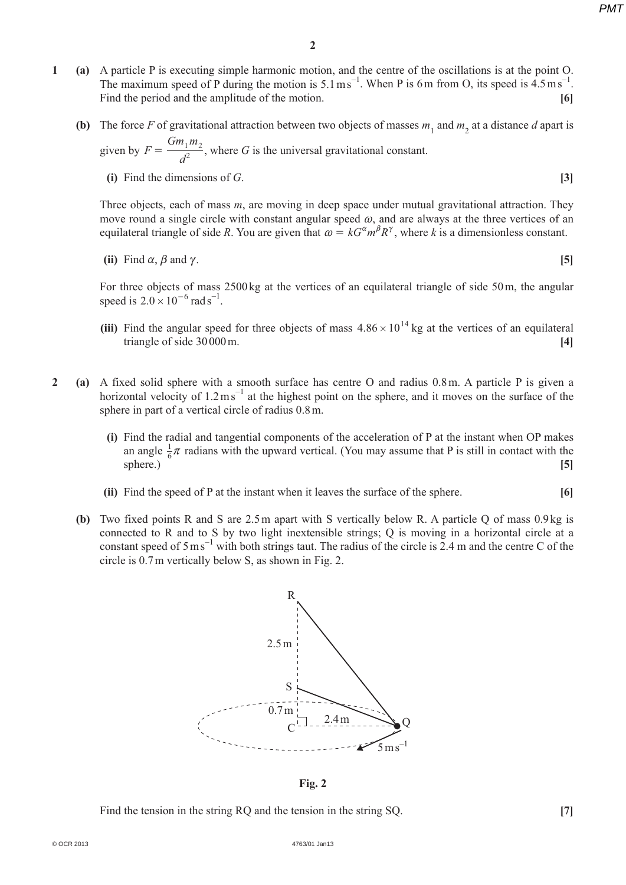*PMT*

- **1 (a)**  A particle P is executing simple harmonic motion, and the centre of the oscillations is at the point O. The maximum speed of P during the motion is  $5.1 \text{ ms}^{-1}$ . When P is 6 m from O, its speed is  $4.5 \text{ ms}^{-1}$ . Find the period and the amplitude of the motion. **[6]**
- **(b)** The force *F* of gravitational attraction between two objects of masses  $m_1$  and  $m_2$  at a distance *d* apart is **given** by *F*  $Gm_1m$  $=\frac{Qm_1m_2}{d^2}$ , where *G* is the universal gravitational constant.
	- **(i)** Find the dimensions of *G*.  $[3]$

*d*

Three objects, each of mass *m*, are moving in deep space under mutual gravitational attraction. They move round a single circle with constant angular speed  $\omega$ , and are always at the three vertices of an equilateral triangle of side *R*. You are given that  $\omega = kG^{\alpha}m^{\beta}R^{\gamma}$ , where *k* is a dimensionless constant.

(ii) Find 
$$
\alpha
$$
,  $\beta$  and  $\gamma$ . [5]

For three objects of mass 2500 kg at the vertices of an equilateral triangle of side 50 m, the angular speed is  $2.0 \times 10^{-6}$  rad s<sup>-1</sup>.

- **(iii)** Find the angular speed for three objects of mass  $4.86 \times 10^{14}$  kg at the vertices of an equilateral triangle of side 30 000 m. **[4]**
- **2 (a)**  A fixed solid sphere with a smooth surface has centre O and radius 0.8 m. A particle P is given a horizontal velocity of  $1.2 \text{ m s}^{-1}$  at the highest point on the sphere, and it moves on the surface of the sphere in part of a vertical circle of radius 0.8 m.
	- **(i)** Find the radial and tangential components of the acceleration of P at the instant when OP makes an angle  $\frac{1}{6}\pi$  radians with the upward vertical. (You may assume that P is still in contact with the sphere.) **[5]**
	- **(ii)** Find the speed of P at the instant when it leaves the surface of the sphere. **[6]**
	- **(b)** Two fixed points R and S are 2.5 m apart with S vertically below R. A particle Q of mass 0.9 kg is connected to R and to S by two light inextensible strings; Q is moving in a horizontal circle at a constant speed of  $5 \text{ m s}^{-1}$  with both strings taut. The radius of the circle is 2.4 m and the centre C of the circle is 0.7 m vertically below S, as shown in Fig. 2.



**Fig. 2**

**Find the tension in the string RQ and the tension in the string SQ.** [7]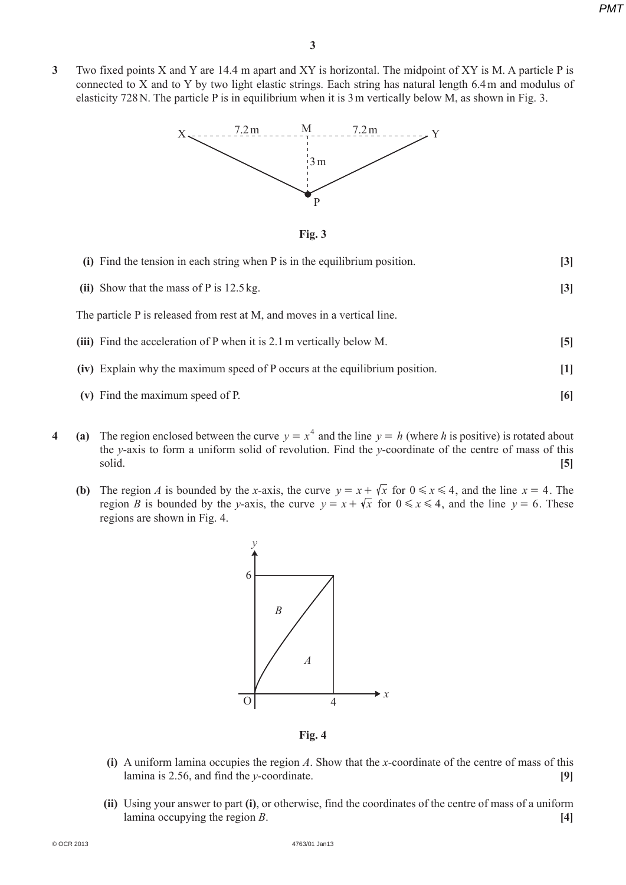*PMT*

**3**  Two fixed points X and Y are 14.4 m apart and XY is horizontal. The midpoint of XY is M. A particle P is connected to X and to Y by two light elastic strings. Each string has natural length 6.4 m and modulus of elasticity 728 N. The particle P is in equilibrium when it is 3 m vertically below M, as shown in Fig. 3.



**Fig. 3**

| (i) Find the tension in each string when P is in the equilibrium position.  | $\lceil 3 \rceil$ |
|-----------------------------------------------------------------------------|-------------------|
| (ii) Show that the mass of $P$ is 12.5 kg.                                  | $\lceil 3 \rceil$ |
| The particle P is released from rest at M, and moves in a vertical line.    |                   |
| (iii) Find the acceleration of P when it is 2.1 m vertically below M.       | $\mathbf{5}$      |
| (iv) Explain why the maximum speed of P occurs at the equilibrium position. | $[1]$             |
| (v) Find the maximum speed of P.                                            | [6]               |

- **4** (a) The region enclosed between the curve  $y = x^4$  and the line  $y = h$  (where *h* is positive) is rotated about the *y-*axis to form a uniform solid of revolution. Find the *y-*coordinate of the centre of mass of this solid. **[5]**
	- **(b)** The region *A* is bounded by the *x*-axis, the curve  $y = x + \sqrt{x}$  for  $0 \le x \le 4$ , and the line  $x = 4$ . The region *B* is bounded by the *y*-axis, the curve  $y = x + \sqrt{x}$  for  $0 \le x \le 4$ , and the line  $y = 6$ . These regions are shown in Fig. 4.



**Fig. 4**

- **(i)** A uniform lamina occupies the region *A*. Show that the *x*-coordinate of the centre of mass of this lamina is 2.56, and find the *y-*coordinate. **[9]**
- **(ii)** Using your answer to part **(i)**, or otherwise, find the coordinates of the centre of mass of a uniform lamina occupying the region *B*. **[4]**